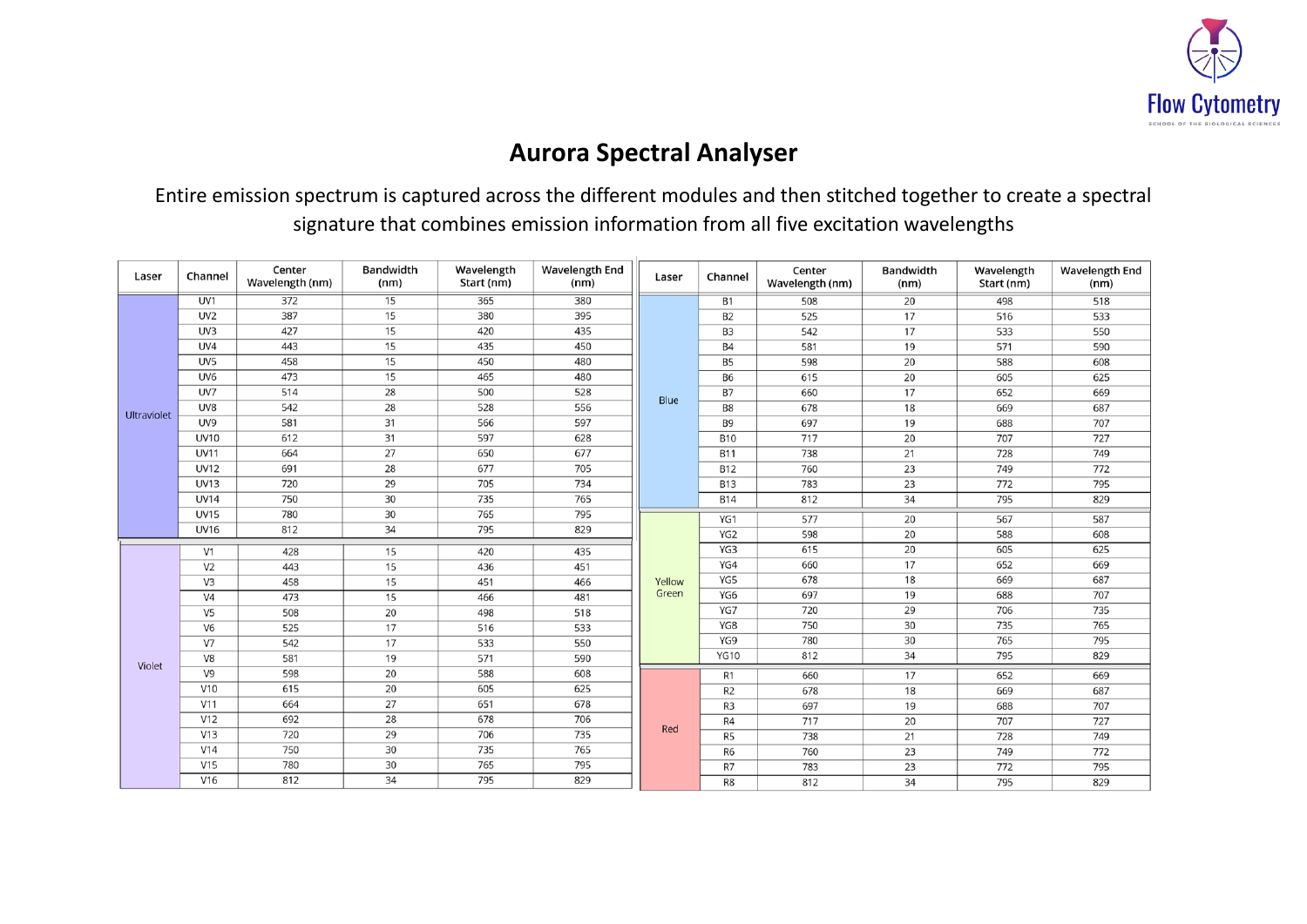

## **Aurora Spectral Analyser**

### Entire emission spectrum is captured across the different modules and then stitched together to create a spectral signature that combines emission information from all five excitation wavelengths

| Laser              | Channel         | Center<br>Wavelength (nm) | Bandwidth<br>(nm) | Wavelength<br>Start (nm) | <b>Wavelength End</b><br>(nm) | Laser           | Channel        | Center<br>Wavelength (nm) | <b>Bandwidth</b><br>(nm) | Wavelength<br>Start (nm) | <b>Wavelength End</b><br>(nm) |
|--------------------|-----------------|---------------------------|-------------------|--------------------------|-------------------------------|-----------------|----------------|---------------------------|--------------------------|--------------------------|-------------------------------|
| <b>Ultraviolet</b> | UV1             | $\overline{372}$          | $\overline{15}$   | 365                      | 380                           |                 | <b>B1</b>      | 508                       | 20                       | 498                      | 518                           |
|                    | UV <sub>2</sub> | 387                       | 15                | 380                      | 395                           |                 | <b>B2</b>      | 525                       | 17                       | 516                      | 533                           |
|                    | UV3             | 427                       | 15                | 420                      | 435                           |                 | B <sub>3</sub> | 542                       | 17                       | 533                      | 550                           |
|                    | UV4             | 443                       | 15                | 435                      | 450                           |                 | <b>B4</b>      | 581                       | 19                       | 571                      | 590                           |
|                    | UV5             | 458                       | 15                | 450                      | 480                           |                 | <b>B5</b>      | 598                       | 20                       | 588                      | 608                           |
|                    | UV <sub>6</sub> | 473                       | 15                | 465                      | 480                           |                 | <b>B6</b>      | 615                       | 20                       | 605                      | 625                           |
|                    | UV7             | 514                       | 28                | 500                      | 528                           | Blue            | <b>B7</b>      | 660                       | 17                       | 652                      | 669                           |
|                    | UV <sub>8</sub> | 542                       | 28                | 528                      | 556                           |                 | B8             | 678                       | 18                       | 669                      | 687                           |
|                    | UV9             | 581                       | 31                | 566                      | 597                           |                 | <b>B9</b>      | 697                       | 19                       | 688                      | 707                           |
|                    | <b>UV10</b>     | 612                       | 31                | 597                      | 628                           |                 | <b>B10</b>     | 717                       | $\overline{20}$          | 707                      | 727                           |
|                    | <b>UV11</b>     | 664                       | 27                | 650                      | 677                           |                 | <b>B11</b>     | 738                       | 21                       | 728                      | 749                           |
|                    | <b>UV12</b>     | 691                       | 28                | 677                      | 705                           |                 | <b>B12</b>     | 760                       | 23                       | 749                      | 772                           |
|                    | <b>UV13</b>     | 720                       | 29                | 705                      | 734                           |                 | <b>B13</b>     | 783                       | 23                       | 772                      | 795                           |
|                    | <b>UV14</b>     | 750                       | 30                | 735                      | 765                           |                 | <b>B14</b>     | 812                       | 34                       | 795                      | 829                           |
|                    | <b>UV15</b>     | 780                       | 30                | 765                      | 795                           |                 | YG1            | 577                       | 20                       | 567                      | 587                           |
|                    | <b>UV16</b>     | 812                       | 34                | 795                      | 829                           |                 | YG2            | 598                       | 20                       | 588                      | 608                           |
|                    | V <sub>1</sub>  | 428                       | 15                | 420                      | 435                           |                 | YG3            | 615                       | 20                       | 605                      | 625                           |
|                    | V <sub>2</sub>  | 443                       | 15                | 436                      | 451                           | Yellow<br>Green | YG4            | 660                       | 17                       | 652                      | 669                           |
|                    | V3              | 458                       | 15                | 451                      | 466                           |                 | YG5            | 678                       | 18                       | 669                      | 687                           |
|                    | V <sub>4</sub>  | 473                       | 15                | 466                      | 481                           |                 | YG6            | 697                       | 19                       | 688                      | 707                           |
|                    | V <sub>5</sub>  | 508                       | 20                | 498                      | 518                           |                 | YG7            | 720                       | 29                       | 706                      | 735                           |
|                    | V <sub>6</sub>  | 525                       | 17                | 516                      | 533                           |                 | YG8            | 750                       | 30                       | 735                      | 765                           |
|                    | V7              | 542                       | 17                | 533                      | 550                           |                 | YG9            | 780                       | 30                       | 765                      | 795                           |
|                    | V8              | 581                       | 19                | 571                      | 590                           |                 | <b>YG10</b>    | 812                       | 34                       | 795                      | 829                           |
| Violet             | V9              | 598                       | 20                | 588                      | 608                           |                 | R1             | 660                       | 17                       | 652                      | 669                           |
|                    | V10             | 615                       | 20                | 605                      | 625                           | Red             | R <sub>2</sub> | 678                       | 18                       | 669                      | 687                           |
|                    | V11             | 664                       | 27                | 651                      | 678                           |                 | R <sub>3</sub> | 697                       | 19                       | 688                      | 707                           |
|                    | V12             | 692                       | 28                | 678                      | 706                           |                 | R4             | 717                       | 20                       | 707                      | 727                           |
|                    | V13             | 720                       | 29                | 706                      | 735                           |                 | R <sub>5</sub> | 738                       | 21                       | 728                      | 749                           |
|                    | V14             | 750                       | 30                | 735                      | 765                           |                 | R6             | 760                       | 23                       | 749                      | 772                           |
|                    | V15             | 780                       | 30                | 765                      | 795                           |                 | R7             | 783                       | 23                       | 772                      | 795                           |
|                    | V16             | 812                       | 34                | 795                      | 829                           |                 | R8             | 812                       | 34                       | 795                      | 829                           |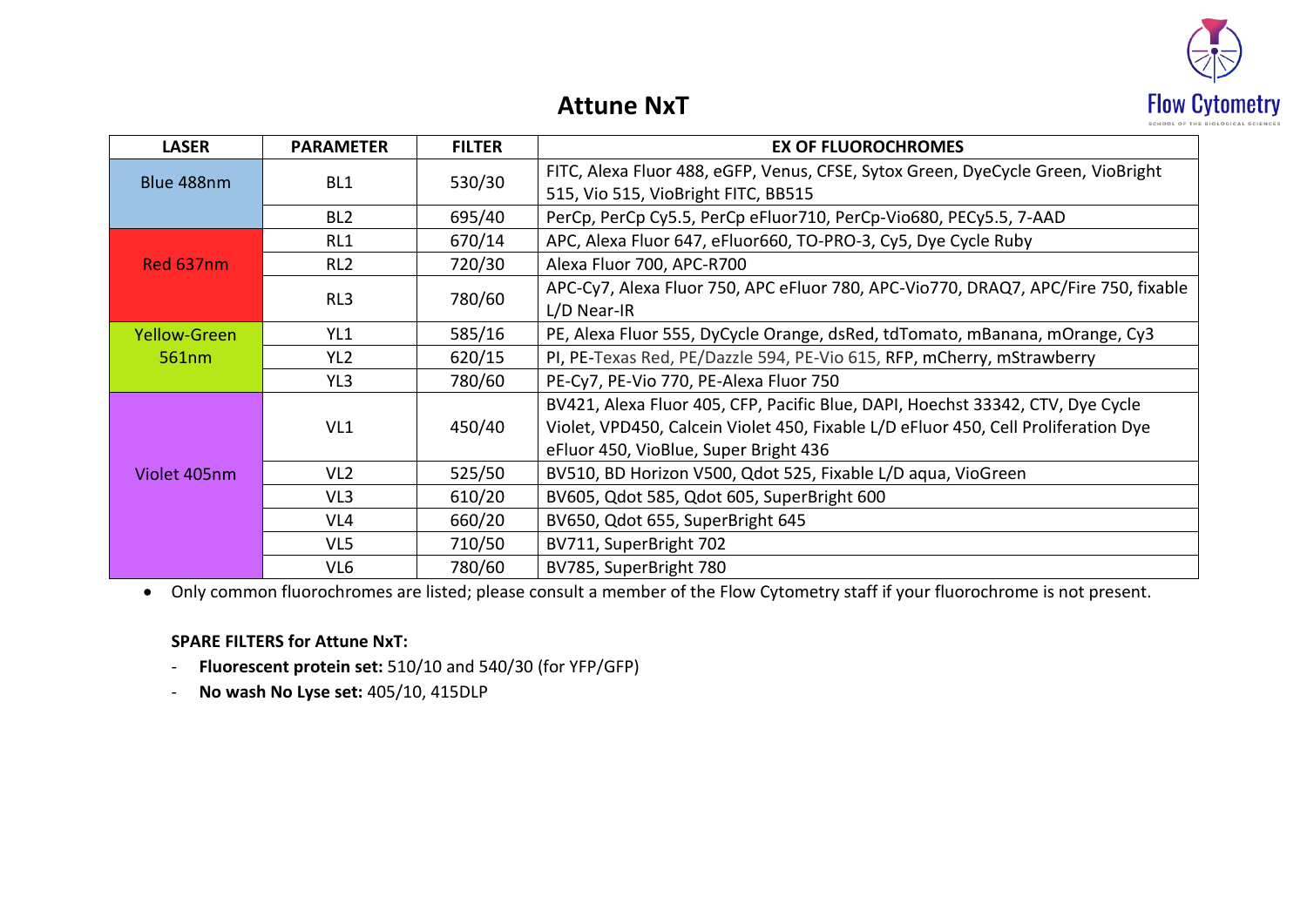

### **Attune NxT**

| <b>LASER</b>        | <b>PARAMETER</b> | <b>FILTER</b> | EX OF FLUOROCHROMES                                                                                                                                                                                           |
|---------------------|------------------|---------------|---------------------------------------------------------------------------------------------------------------------------------------------------------------------------------------------------------------|
| Blue 488nm          | BL1              | 530/30        | FITC, Alexa Fluor 488, eGFP, Venus, CFSE, Sytox Green, DyeCycle Green, VioBright<br>515, Vio 515, VioBright FITC, BB515                                                                                       |
|                     | BL <sub>2</sub>  | 695/40        | PerCp, PerCp Cy5.5, PerCp eFluor710, PerCp-Vio680, PECy5.5, 7-AAD                                                                                                                                             |
|                     | RL1              | 670/14        | APC, Alexa Fluor 647, eFluor660, TO-PRO-3, Cy5, Dye Cycle Ruby                                                                                                                                                |
| Red 637nm           | RL <sub>2</sub>  | 720/30        | Alexa Fluor 700, APC-R700                                                                                                                                                                                     |
|                     | RL3              | 780/60        | APC-Cy7, Alexa Fluor 750, APC eFluor 780, APC-Vio770, DRAQ7, APC/Fire 750, fixable<br>L/D Near-IR                                                                                                             |
| <b>Yellow-Green</b> | YL1              | 585/16        | PE, Alexa Fluor 555, DyCycle Orange, dsRed, tdTomato, mBanana, mOrange, Cy3                                                                                                                                   |
| 561nm               | YL <sub>2</sub>  | 620/15        | PI, PE-Texas Red, PE/Dazzle 594, PE-Vio 615, RFP, mCherry, mStrawberry                                                                                                                                        |
|                     | YL3              | 780/60        | PE-Cy7, PE-Vio 770, PE-Alexa Fluor 750                                                                                                                                                                        |
|                     | VL1              | 450/40        | BV421, Alexa Fluor 405, CFP, Pacific Blue, DAPI, Hoechst 33342, CTV, Dye Cycle<br>Violet, VPD450, Calcein Violet 450, Fixable L/D eFluor 450, Cell Proliferation Dye<br>eFluor 450, VioBlue, Super Bright 436 |
| Violet 405nm        | VL <sub>2</sub>  | 525/50        | BV510, BD Horizon V500, Qdot 525, Fixable L/D aqua, VioGreen                                                                                                                                                  |
|                     | VL <sub>3</sub>  | 610/20        | BV605, Qdot 585, Qdot 605, SuperBright 600                                                                                                                                                                    |
|                     | VL <sub>4</sub>  | 660/20        | BV650, Qdot 655, SuperBright 645                                                                                                                                                                              |
|                     | VL5              | 710/50        | BV711, SuperBright 702                                                                                                                                                                                        |
|                     | VL6              | 780/60        | BV785, SuperBright 780                                                                                                                                                                                        |

• Only common fluorochromes are listed; please consult a member of the Flow Cytometry staff if your fluorochrome is not present.

**SPARE FILTERS for Attune NxT:** 

- **Fluorescent protein set:** 510/10 and 540/30 (for YFP/GFP)
- **No wash No Lyse set:** 405/10, 415DLP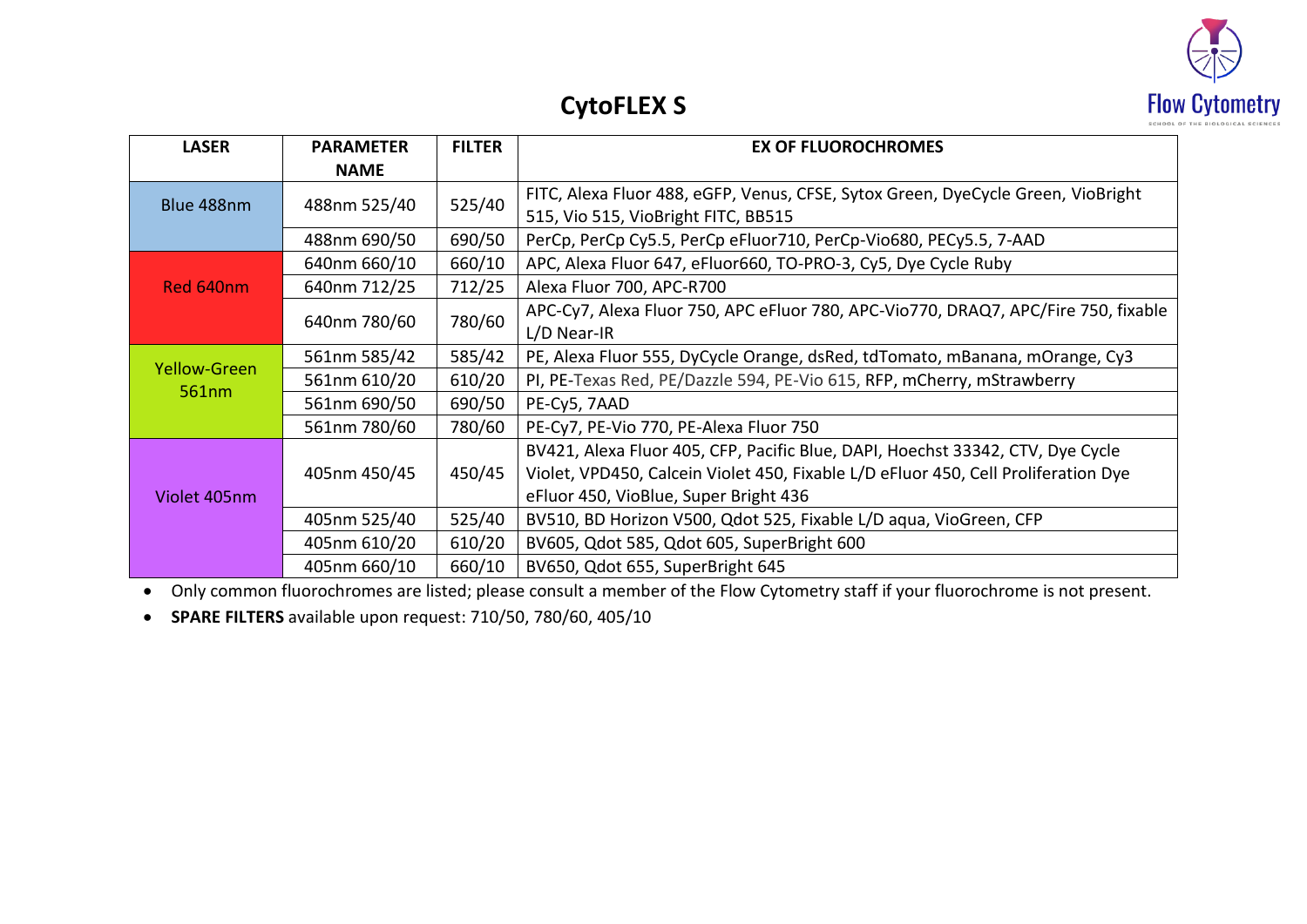

# **CytoFLEX S**

| <b>LASER</b>        | <b>PARAMETER</b>       | <b>FILTER</b> | <b>EX OF FLUOROCHROMES</b>                                                         |  |  |
|---------------------|------------------------|---------------|------------------------------------------------------------------------------------|--|--|
|                     | <b>NAME</b>            |               |                                                                                    |  |  |
| Blue 488nm          | 488nm 525/40           | 525/40        | FITC, Alexa Fluor 488, eGFP, Venus, CFSE, Sytox Green, DyeCycle Green, VioBright   |  |  |
|                     |                        |               | 515, Vio 515, VioBright FITC, BB515                                                |  |  |
|                     | 488nm 690/50           | 690/50        | PerCp, PerCp Cy5.5, PerCp eFluor710, PerCp-Vio680, PECy5.5, 7-AAD                  |  |  |
|                     | 640nm 660/10           | 660/10        | APC, Alexa Fluor 647, eFluor660, TO-PRO-3, Cy5, Dye Cycle Ruby                     |  |  |
| Red 640nm           | 640nm 712/25           | 712/25        | Alexa Fluor 700, APC-R700                                                          |  |  |
|                     |                        |               | APC-Cy7, Alexa Fluor 750, APC eFluor 780, APC-Vio770, DRAQ7, APC/Fire 750, fixable |  |  |
|                     | 640nm 780/60           | 780/60        | L/D Near-IR                                                                        |  |  |
|                     | 561nm 585/42           | 585/42        | PE, Alexa Fluor 555, DyCycle Orange, dsRed, tdTomato, mBanana, mOrange, Cy3        |  |  |
| <b>Yellow-Green</b> | 561nm 610/20<br>610/20 |               | PI, PE-Texas Red, PE/Dazzle 594, PE-Vio 615, RFP, mCherry, mStrawberry             |  |  |
| 561nm               | 690/50<br>561nm 690/50 |               | PE-Cy5, 7AAD                                                                       |  |  |
|                     | 561nm 780/60           | 780/60        | PE-Cy7, PE-Vio 770, PE-Alexa Fluor 750                                             |  |  |
|                     |                        | 450/45        | BV421, Alexa Fluor 405, CFP, Pacific Blue, DAPI, Hoechst 33342, CTV, Dye Cycle     |  |  |
|                     | 405nm 450/45           |               | Violet, VPD450, Calcein Violet 450, Fixable L/D eFluor 450, Cell Proliferation Dye |  |  |
| Violet 405nm        |                        |               | eFluor 450, VioBlue, Super Bright 436                                              |  |  |
|                     | 405nm 525/40           | 525/40        | BV510, BD Horizon V500, Qdot 525, Fixable L/D aqua, VioGreen, CFP                  |  |  |
|                     | 405nm 610/20           | 610/20        | BV605, Qdot 585, Qdot 605, SuperBright 600                                         |  |  |
|                     | 405nm 660/10           | 660/10        | BV650, Qdot 655, SuperBright 645                                                   |  |  |

• Only common fluorochromes are listed; please consult a member of the Flow Cytometry staff if your fluorochrome is not present.

• **SPARE FILTERS** available upon request: 710/50, 780/60, 405/10